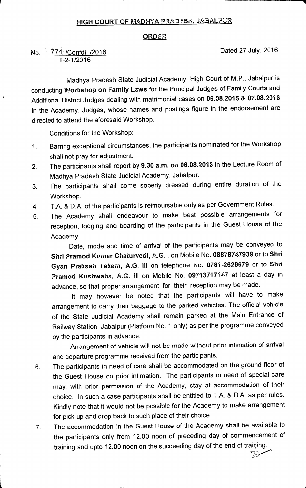## **HIGH COURT OF MADHYA PRADESX, JABALPUR**

## **ORDER**

**No. /Confdl. /2016 Dated 27 July, 2016**  774**11-2-1/2016** 

**Madhya Pradesh State Judicial Academy, High Court of M.P., Jabalpur is conducting Workshop on Family Laws for the Principal Judges of Family Courts and Additional District Judges dealing with matrimonial cases on 06.08.2016 & 07.08.2016 in the Academy. Judges, whose names and postings figure in the endorsement are directed to attend the aforesaid Workshop.** 

**Conditions for the Workshop:** 

- **1 Barring exceptional circumstances, the participants nominated for the Workshop shall not pray for adjustment.**
- **2. The participants shall report by 9.30 a.m. on 06.08.2016 in the Lecture Room of Madhya Pradesh State Judicial Academy, Jabalpur.**
- **3. The participants shall come soberly dressed during entire duration of the Workshop.**
- **4. T.A. & D.A. of the participants is reimbursable only as per Government Rules.**
- **5. The Academy shall endeavour to make best possible arrangements for reception, lodging and boarding of the participants in the Guest House of the Academy.**

**Date, mode and time of arrival of the participants may be conveyed to Shri Pramod Kumar Chaturvedi, A.G. I on Mobile No. 08878747939 or to Shri Gyan Prakash Tekam, A.G. III on telephone No. 0761-2628679 or to Shri ?ramod Kushwaha, A.G. III on Mobile No. 09713717147 at least a day in advance, so that proper arrangement for their reception may be made.** 

**It may however be noted that the participants will have to make arrangement to carry their baggage to the parked vehicles. The official vehicle of the State Judicial Academy shall remain parked at the Main Entrance of Railway Station, Jabalpur (Platform No. 1 only) as per the programme conveyed by the participants in advance.** 

**Arrangement of vehicle will not be made without prior intimation of arrival and departure programme received from the participants.** 

- **6. The participants in need of care shall be accommodated on the ground floor of the Guest House on prior intimation. The participants in need of special care may, with prior permission of the Academy, stay at accommodation of their choice. In such a case participants shall be entitled to T.A. & D.A. as per rules. Kindly note that it would not be possible for the Academy to make arrangement for pick up and drop back to such place of their choice.**
- **7. The accommodation in the Guest House of the Academy shall be available to the participants only from 12.00 noon of preceding day of commencement of**  training and upto 12.00 noon on the succeeding day of the end of training.

*7)1T.*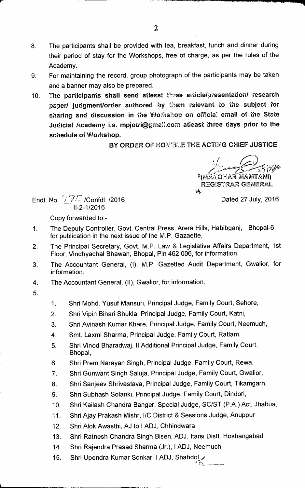- **8. The participants shall be provided with tea, breakfast, lunch and dinner during their period of stay for the Workshops, free of charge, as per the rules of the Academy.**
- **9 For maintaining the record, group photograph of the participants may be taken and a banner may also be prepared.**
- **10. The participants shall send atleast three article/presentation/ research** paper/ judgment/order authored by them relevant to the subject for **sharing and discussion in the Wor:ts:op on offtia: email of the State Judicial Academy i.e. mpjotri@gmail.com atleast three days prior to the schedule of Workshop.**

BY ORDER OF HON'3LE THE ACTING CHIEF JUSTICE

**<sup>17</sup>(ElEANICXAR afiARFITANI) REG:S7RAR GENERAL sts-**

**Endt. No.**  $\sqrt{75}$  /Confdl. /2016 **Dated 27 July, 2016 11-2-1/2016** 

**Copy forwarded to:-** 

- **1. The Deputy Controller, Govt. Central Press, Arera Hills, Habibganj, Bhopal-6 for publication in the next issue of the M.P. Gazaette,**
- **2. The Principal Secretary, Govt. M.P. Law & Legislative Affairs Department, 1st Floor, Vindhyachal Bhawan, Bhopal, Pin 462 006, for information.**
- **3. The Accountant General, (1), M.P. Gazetted Audit Department, Gwalior, for information.**
- **4. The Accountant General, (II), Gwalior, for information.**
- **5.**
- **1. Shri Mohd. Yusuf Mansur', Principal Judge, Family Court, Sehore,**
- **2. Shri Vipin Bihari Shukla, Principal Judge, Family Court, Katni,**
- **3. Shri Avinash Kumar Khare, Principal Judge, Family Court, Neemuch,**
- **4. Smt. Laxmi Sharma, Principal Judge, Family Court, Ratlam,**
- **5. Shri Vinod Bharadwaj, 11 Additional Principal Judge, Family Court, Bhopal,**
- **6. Shri Prem Narayan Singh, Principal Judge, Family Court, Rewa,**
- **7. Shri Gunwant Singh Saluja, Principal Judge, Family Court, Gwalior,**
- **8. Shri Sanjeev Shrivastava, Principal Judge, Family Court, Tikamgarh,**
- **9. Shri Subhash Solanki, Principal Judge, Family Court, Dindori,**
- **10. Shri Kailash Chandra Banger, Special Judge, SC/ST (P.A.) Act, Jhabua,**
- **11. Shri Ajay Prakash Mishr, 1/C District & Sessions Judge, Anuppur**
- **12. Shri Alok Awasthi, AJ to 1 ADJ, Chhindwara**
- **13. Shri Ratnesh Chandra Singh Bisen, ADJ, ltarsi Distt. Hoshangabad**
- **14. Shri Rajendra Prasad Sharma (Jr.), I ADJ, Neemuch**
- 11. Shri Upendra Kumar Sonkar, I ADJ, Shahdol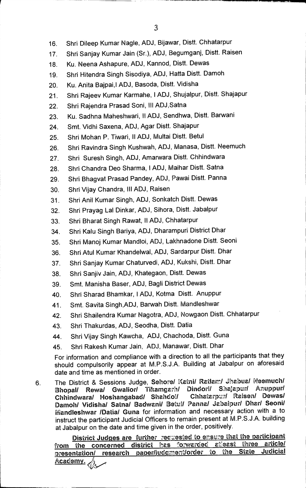- **16. Shri Dileep Kumar Nagle, ADJ, Bijawar, Distt. Chhatarpur**
- **17. Shri Sanjay Kumar Jain (Sr.), ADJ, Begumganj, Distt. Raisen**
- **18. Ku. Neena Ashapure, ADJ, Kannod, Distt. Dewas**
- **19. Shri Hitendra Singh Sisodiya, ADJ, Hatta Distt. Damoh**
- 20. Ku. Anita Bajpai,I ADJ, Basoda, Distt. Vidisha
- **21. Shri Rajeev Kumar Karmahe, I ADJ, Shujalpur, Distt. Shajapur**
- **22. Shri Rajendra Prasad Soni, III ADJ,Satna**
- **23. Ku. Sadhna Maheshwari, II ADJ, Sendhwa, Distt. Barwani**
- **24. Smt. Vidhi Saxena, ADJ, Agar Distt. Shajapur**
- 25. Shri Mohan P. Tiwari, II ADJ, Multai Distt. Betul
- 26. Shri Ravindra Singh Kushwah, ADJ, Manasa, Distt. Neemuch
- **27. Shri Suresh Singh, ADJ, Amarwara Distt. Chhindwara**
- 28. Shri Chandra Deo Sharma, I ADJ, Maihar Distt. Satna
- **29. Shri Bhagvat Prasad Pandey, ADJ, Pawai Distt. Panna**
- **30. Shri Vijay Chandra, Ill ADJ, Raisen**
- **31. Shri Anil Kumar Singh, ADJ, Sonkatch Distt. Dewas**
- **32. Shri Prayag Lal Dinkar, ADJ, Sihora, Distt. Jabalpur**
- **33. Shri Bharat Singh Rawat, II ADJ, Chhatarpur**
- **34. Shri Kalu Singh Bariya, ADJ, Dharampuri District Dhar**
- **35. Shri Manoj Kumar Mandloi, ADJ, Lakhnadone Distt. Seoni**
- **36. Shri Atul Kumar Khandelwal, ADJ, Sardarpur Distt. Dhar**
- **37. Shri Sanjay Kumar Chaturvedi, ADJ, Kukshi, Distt. Dhar**
- **38. Shri Sanjiv Jain, ADJ, Khategaon, Distt. Dewas**
- **39. Smt. Manisha Baser, ADJ, Bagli District Dewas**
- **40. Shri Sharad Bhamkar, I ADJ, Kotma Distt. Anuppur**
- 41. Smt. Savita Singh, ADJ, Barwah Distt. Mandleshwar
- **42. Shri Shailendra Kumar Nagotra, ADJ, Nowgaon Distt. Chhatarpur**
- **43. Shri Thakurdas, ADJ, Seodha, Distt. Datia**
- **44. Shri Vijay Singh Kawcha, ADJ, Chachoda, Distt. Guna**
- 45. Shri Rakesh Kumar Jain, ADJ, Manawar, Distt. Dhar

**For information and compliance with a direction to all the participants that they**  should compulsorily appear at M.P.S.J.A. Building at Jabalpur on aforesaid **date and time as mentioned in order.** 

**6 The District & Sessions Judge, Sehore/ Katni/ Ratlarr./ Jhabua/ Meemuch/ Bhopal/ Rewa/ Gwalior/ Tikamgarh/ Dindorl/ Shalapur/ Artuppur/**  Chhindwara/ Hoshangabad/ Shahdol/ **Damoh/ Vidisha/ Satna/ Badwani/ Betul/ Panna/ Jabalpur/ Dhar/ Seoni/ Mandleshwar /Datia/ Guna for information and necessary action with a to**  instruct the participant Judicial Officers to remain present at M.P.S.J.A. building **at Jabalpur on the date and time given in the order, positively.** 

**District Judges are further requested to ensure that the participant of the concerned district has forwarded atleast three article/ from the concerned district has (.'orwarded at:east three article/**  presentation/ research paper/judgment/order to the State Academy.